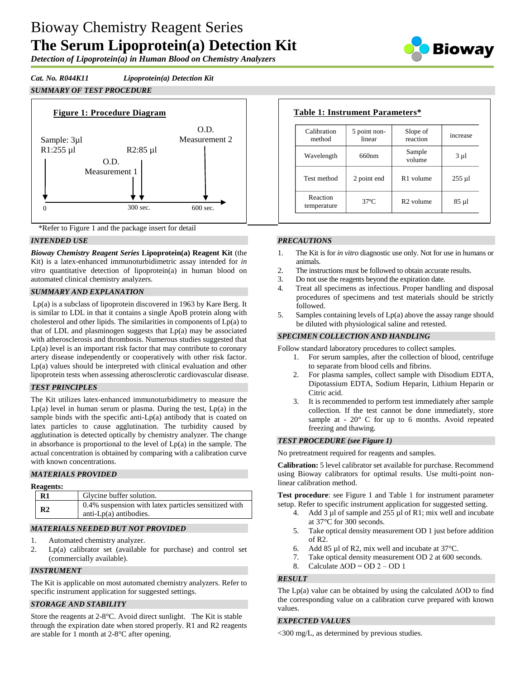# Bioway Chemistry Reagent Series **The Serum Lipoprotein(a) Detection Kit**

*Detection of Lipoprotein(a) in Human Blood on Chemistry Analyzers*

*Cat. No. R044K11 Lipoprotein(a) Detection Kit SUMMARY OF TEST PROCEDURE*



\*Refer to Figure 1 and the package insert for detail

# *INTENDED USE*

*Bioway Chemistry Reagent Series* **Lipoprotein(a) Reagent Kit** (the Kit) is a latex-enhanced immunoturbidimetric assay intended for *in vitro* quantitative detection of lipoprotein(a) in human blood on automated clinical chemistry analyzers.

# *SUMMARY AND EXPLANATION*

Lp(a) is a subclass of lipoprotein discovered in 1963 by Kare Berg. It is similar to LDL in that it contains a single ApoB protein along with cholesterol and other lipids. The similarities in components of Lp(a) to that of LDL and plasminogen suggests that Lp(a) may be associated with atherosclerosis and thrombosis. Numerous studies suggested that  $Lp(a)$  level is an important risk factor that may contribute to coronary artery disease independently or cooperatively with other risk factor. Lp(a) values should be interpreted with clinical evaluation and other lipoprotein tests when assessing atherosclerotic cardiovascular disease.

# *TEST PRINCIPLES*

The Kit utilizes latex-enhanced immunoturbidimetry to measure the  $Lp(a)$  level in human serum or plasma. During the test,  $Lp(a)$  in the sample binds with the specific anti-Lp(a) antibody that is coated on latex particles to cause agglutination. The turbidity caused by agglutination is detected optically by chemistry analyzer. The change in absorbance is proportional to the level of  $Lp(a)$  in the sample. The actual concentration is obtained by comparing with a calibration curve with known concentrations.

### *MATERIALS PROVIDED*

| <b>Reagents:</b> |                |                                                                                   |  |  |  |
|------------------|----------------|-----------------------------------------------------------------------------------|--|--|--|
|                  | $\mathbf{R}1$  | Glycine buffer solution.                                                          |  |  |  |
|                  | R <sub>2</sub> | 0.4% suspension with latex particles sensitized with<br>anti- $Lp(a)$ antibodies. |  |  |  |
|                  |                |                                                                                   |  |  |  |

# *MATERIALS NEEDED BUT NOT PROVIDED*

- 1. Automated chemistry analyzer.
- 2. Lp(a) calibrator set (available for purchase) and control set (commercially available).

### *INSTRUMENT*

The Kit is applicable on most automated chemistry analyzers. Refer to specific instrument application for suggested settings.

# *STORAGE AND STABILITY*

Store the reagents at 2-8°C. Avoid direct sunlight. The Kit is stable through the expiration date when stored properly. R1 and R2 reagents are stable for 1 month at 2-8°C after opening.

| Calibration<br>method   | 5 point non-<br>linear | Slope of<br>reaction  | increase    |
|-------------------------|------------------------|-----------------------|-------------|
| Wavelength              | 660nm                  | Sample<br>volume      | $3 \mu$     |
| Test method             | 2 point end            | R <sub>1</sub> volume | $255 \mu l$ |
| Reaction<br>temperature | $37^\circ$ C           | R <sub>2</sub> volume | $85 \mu$    |

## *PRECAUTIONS*

- 1. The Kit is for *in vitro* diagnostic use only. Not for use in humans or animals.
- 2. The instructions must be followed to obtain accurate results.<br>3. Do not use the reagents beyond the expiration date.
- 3. Do not use the reagents beyond the expiration date.
- 4. Treat all specimens as infectious. Proper handling and disposal procedures of specimens and test materials should be strictly followed.
- 5. Samples containing levels of Lp(a) above the assay range should be diluted with physiological saline and retested.

# *SPECIMEN COLLECTION AND HANDLING*

Follow standard laboratory procedures to collect samples.

- 1. For serum samples, after the collection of blood, centrifuge to separate from blood cells and fibrins.
- 2. For plasma samples, collect sample with Disodium EDTA, Dipotassium EDTA, Sodium Heparin, Lithium Heparin or Citric acid.
- 3. It is recommended to perform test immediately after sample collection. If the test cannot be done immediately, store sample at -  $20^{\circ}$  C for up to 6 months. Avoid repeated freezing and thawing.

### *TEST PROCEDURE (see Figure 1)*

No pretreatment required for reagents and samples.

**Calibration:** 5 level calibrator set available for purchase. Recommend using Bioway calibrators for optimal results. Use multi-point nonlinear calibration method.

**Test procedure**: see Figure 1 and Table 1 for instrument parameter setup. Refer to specific instrument application for suggested setting.

- 4. Add 3 µl of sample and 255 µl of R1; mix well and incubate at 37°C for 300 seconds.
- 5. Take optical density measurement OD 1 just before addition of R2.
- 6. Add 85  $\mu$ l of R2, mix well and incubate at 37°C.
- 7. Take optical density measurement OD 2 at 600 seconds.
- 8. Calculate  $\Delta OD = OD$  2 OD 1

## *RESULT*

The Lp(a) value can be obtained by using the calculated  $\Delta$ OD to find the corresponding value on a calibration curve prepared with known values.

## *EXPECTED VALUES*

<300 mg/L, as determined by previous studies.